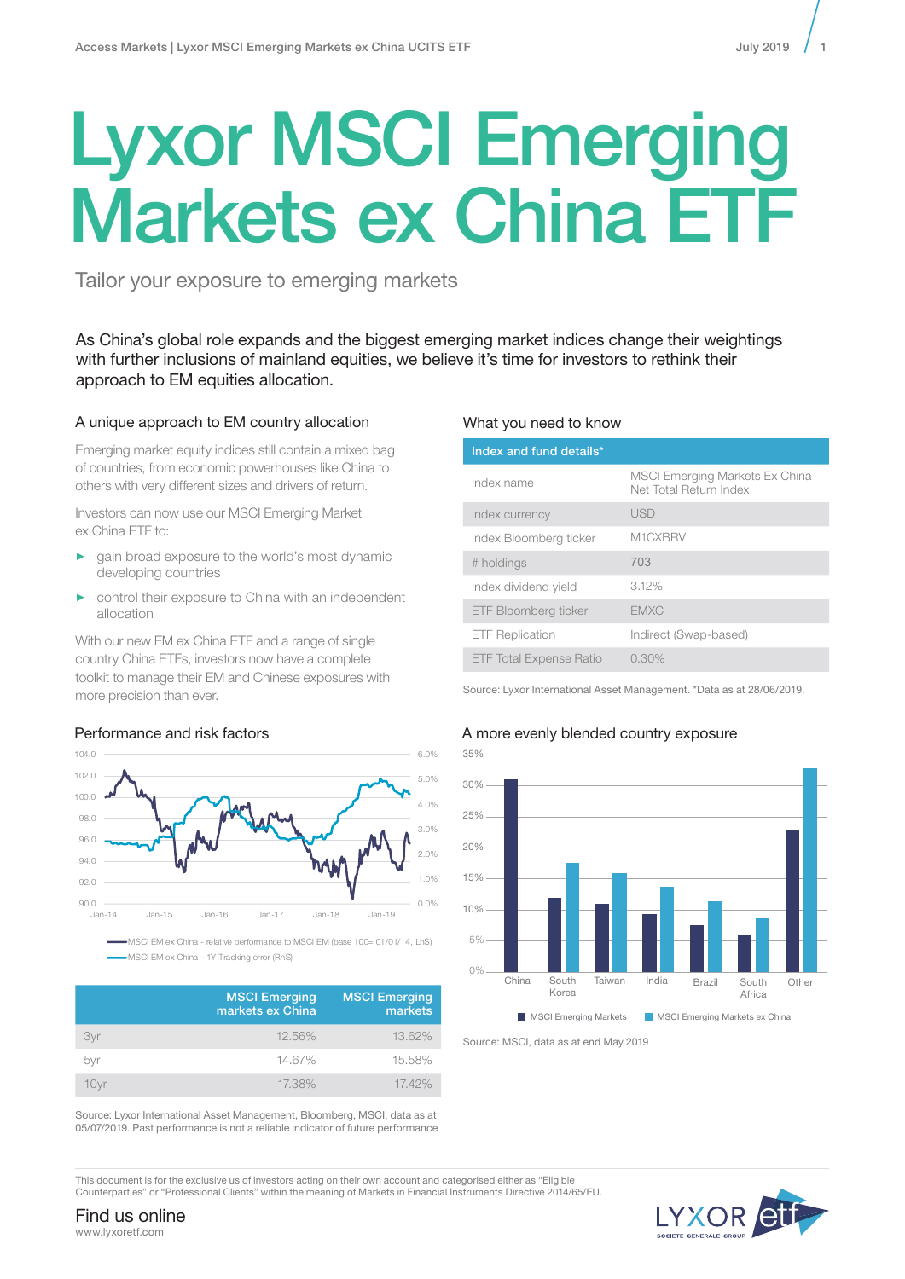# Lyxor MSCI Emerging Markets ex China ETF

Tailor your exposure to emerging markets

As China's global role expands and the biggest emerging market indices change their weightings with further inclusions of mainland equities, we believe it's time for investors to rethink their approach to EM equities allocation.

# A unique approach to EM country allocation

Emerging market equity indices still contain a mixed bag of countries, from economic powerhouses like China to others with very different sizes and drivers of return.

Investors can now use our MSCI Emerging Market ex China ETF to:

- ► gain broad exposure to the world's most dynamic developing countries
- control their exposure to China with an independent allocation

With our new EM ex China ETF and a range of single country China ETFs, investors now have a complete toolkit to manage their EM and Chinese exposures with more precision than ever.

# Performance and risk factors



MSCI EM ex China - relative performance to MSCI EM (base 100= 01/01/14, LhS) -MSCI EM ex China - 1Y Tracking error (RhS)

|      | <b>MSCI Emerging</b><br>markets ex China | <b>MSCI Emerging</b><br>markets |
|------|------------------------------------------|---------------------------------|
| 3vr  | 12.56%                                   | 13.62%                          |
| 5yr  | 14.67%                                   | 15.58%                          |
| 10vr | 17.38%                                   | 17.42%                          |

Source: Lyxor International Asset Management, Bloomberg, MSCI, data as at 05/07/2019. Past performance is not a reliable indicator of future performance

## What you need to know

| Index and fund details*        |                                                                 |  |
|--------------------------------|-----------------------------------------------------------------|--|
| Index name                     | <b>MSCI Emerging Markets Ex China</b><br>Net Total Return Index |  |
| Index currency                 | <b>USD</b>                                                      |  |
| Index Bloomberg ticker         | M1CXBRV                                                         |  |
| # holdings                     | 703                                                             |  |
| Index dividend yield           | 3.12%                                                           |  |
| ETF Bloomberg ticker           | <b>EMXC</b>                                                     |  |
| <b>ETF Replication</b>         | Indirect (Swap-based)                                           |  |
| <b>ETF Total Expense Ratio</b> | $0.30\%$                                                        |  |

Source: Lyxor International Asset Management. \*Data as at 28/06/2019.

# A more evenly blended country exposure



Source: MSCI, data as at end May 2019

This document is for the exclusive us of investors acting on their own account and categorised either as "Eligible 10% Counterparties" or "Professional Clients" within the meaning of Markets in Financial Instruments Directive 2014/65/EU.